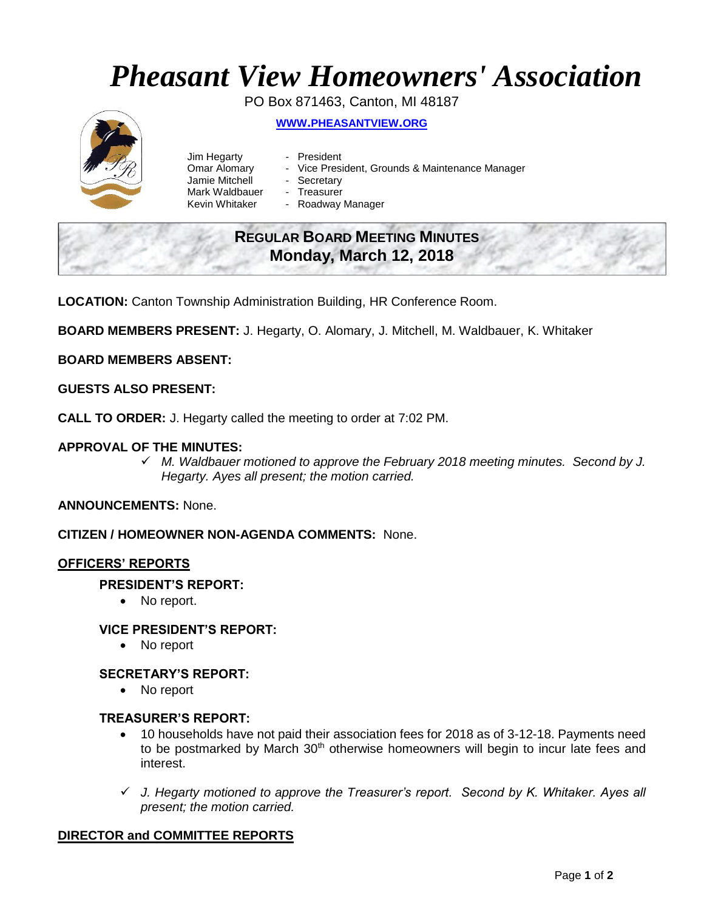# *Pheasant View Homeowners' Association*

PO Box 871463, Canton, MI 48187 **WWW.[PHEASANTVIEW](http://www.pheasantview.org/).ORG**

- Jim Hegarty President
	-
- Omar Alomary Vice President, Grounds & Maintenance Manager
- Jamie Mitchell Secretary
	-
- Mark Waldbauer Treasurer<br>Kevin Whitaker Roadway - Roadway Manager

## **REGULAR BOARD MEETING MINUTES Monday, March 12, 2018**

**LOCATION:** Canton Township Administration Building, HR Conference Room.

**BOARD MEMBERS PRESENT:** J. Hegarty, O. Alomary, J. Mitchell, M. Waldbauer, K. Whitaker

#### **BOARD MEMBERS ABSENT:**

#### **GUESTS ALSO PRESENT:**

**CALL TO ORDER:** J. Hegarty called the meeting to order at 7:02 PM.

#### **APPROVAL OF THE MINUTES:**

 *M. Waldbauer motioned to approve the February 2018 meeting minutes. Second by J. Hegarty. Ayes all present; the motion carried.* 

#### **ANNOUNCEMENTS:** None.

**CITIZEN / HOMEOWNER NON-AGENDA COMMENTS:** None.

#### **OFFICERS' REPORTS**

#### **PRESIDENT'S REPORT:**

• No report.

#### **VICE PRESIDENT'S REPORT:**

• No report

#### **SECRETARY'S REPORT:**

• No report

#### **TREASURER'S REPORT:**

- 10 households have not paid their association fees for 2018 as of 3-12-18. Payments need to be postmarked by March  $30<sup>th</sup>$  otherwise homeowners will begin to incur late fees and interest.
- *J. Hegarty motioned to approve the Treasurer's report. Second by K. Whitaker. Ayes all present; the motion carried.*

#### **DIRECTOR and COMMITTEE REPORTS**